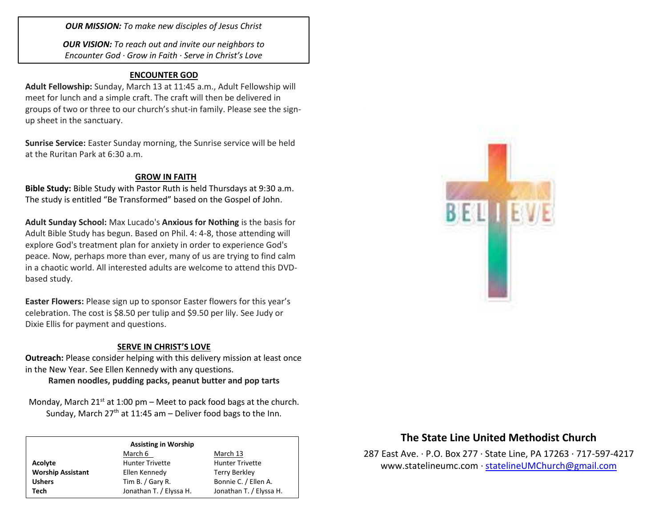*OUR MISSION: To make new disciples of Jesus Christ*

*OUR VISION: To reach out and invite our neighbors to Encounter God · Grow in Faith · Serve in Christ's Love*

### **ENCOUNTER GOD**

**Adult Fellowship:** Sunday, March 13 at 11:45 a.m., Adult Fellowship will meet for lunch and a simple craft. The craft will then be delivered in groups of two or three to our church's shut-in family. Please see the signup sheet in the sanctuary.

**Sunrise Service:** Easter Sunday morning, the Sunrise service will be held at the Ruritan Park at 6:30 a.m.

## **GROW IN FAITH**

**Bible Study:** Bible Study with Pastor Ruth is held Thursdays at 9:30 a.m. The study is entitled "Be Transformed" based on the Gospel of John.

**Adult Sunday School:** Max Lucado's **Anxious for Nothing** is the basis for Adult Bible Study has begun. Based on Phil. 4: 4-8, those attending will explore God's treatment plan for anxiety in order to experience God's peace. Now, perhaps more than ever, many of us are trying to find calm in a chaotic world. All interested adults are welcome to attend this DVDbased study.

**Easter Flowers:** Please sign up to sponsor Easter flowers for this year's celebration. The cost is \$8.50 per tulip and \$9.50 per lily. See Judy or Dixie Ellis for payment and questions.

### **SERVE IN CHRIST'S LOVE**

**Outreach:** Please consider helping with this delivery mission at least once in the New Year. See Ellen Kennedy with any questions.

**Ramen noodles, pudding packs, peanut butter and pop tarts**

Monday, March  $21^{st}$  at 1:00 pm – Meet to pack food bags at the church. Sunday, March  $27<sup>th</sup>$  at 11:45 am – Deliver food bags to the Inn.

#### **Assisting in Worship**

|                          | March 6                 | March 13                |  |
|--------------------------|-------------------------|-------------------------|--|
| Acolyte                  | <b>Hunter Trivette</b>  | <b>Hunter Trivette</b>  |  |
| <b>Worship Assistant</b> | Ellen Kennedy           | Terry Berkley           |  |
| <b>Ushers</b>            | Tim B. / Gary R.        | Bonnie C. / Ellen A.    |  |
| Tech                     | Jonathan T. / Elyssa H. | Jonathan T. / Elyssa H. |  |



# **The State Line United Methodist Church**

287 East Ave. · P.O. Box 277 · State Line, PA 17263 · 717-597-4217 [www.statelineumc.com](http://www.statelineumc.com/) · [statelineUMChurch@gmail.com](mailto:statelineUMChurch@gmail.com)